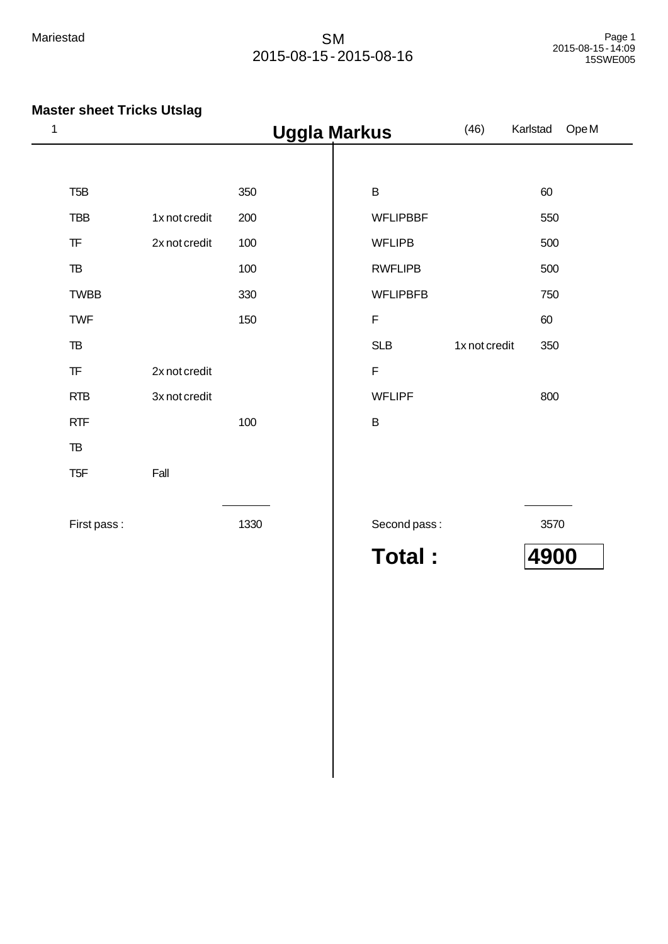| 1                                                |               |      | <b>Uggla Markus</b> | (46)          | Ope M<br>Karlstad |
|--------------------------------------------------|---------------|------|---------------------|---------------|-------------------|
|                                                  |               |      |                     |               |                   |
| T <sub>5</sub> B                                 |               | 350  | $\sf B$             |               | 60                |
| <b>TBB</b>                                       | 1x not credit | 200  | <b>WFLIPBBF</b>     |               | 550               |
| ${\sf TF}$                                       | 2x not credit | 100  | <b>WFLIPB</b>       |               | 500               |
| ${\tt TB}$                                       |               | 100  | <b>RWFLIPB</b>      |               | 500               |
| <b>TWBB</b>                                      |               | 330  | <b>WFLIPBFB</b>     |               | 750               |
| <b>TWF</b>                                       |               | 150  | $\mathsf F$         |               | 60                |
| $\mathsf{T}\mathsf{B}$                           |               |      | <b>SLB</b>          | 1x not credit | 350               |
| $\ensuremath{\mathsf{T}}\ensuremath{\mathsf{F}}$ | 2x not credit |      | $\mathsf F$         |               |                   |
| <b>RTB</b>                                       | 3x not credit |      | <b>WFLIPF</b>       |               | 800               |
| RTF                                              |               | 100  | $\sf B$             |               |                   |
| TB                                               |               |      |                     |               |                   |
| T <sub>5F</sub>                                  | Fall          |      |                     |               |                   |
| First pass:                                      |               | 1330 | Second pass:        |               | 3570              |
|                                                  |               |      | Total:              |               | 4900              |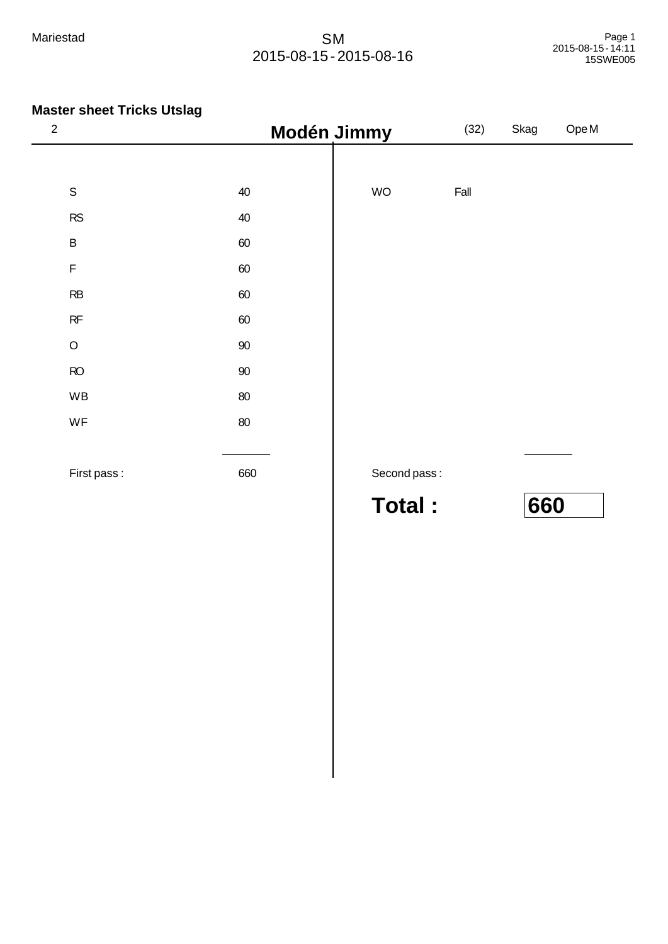| $\sqrt{2}$  |        | Modén Jimmy   | (32) | Skag | Ope M |
|-------------|--------|---------------|------|------|-------|
|             |        |               |      |      |       |
| $\mathsf S$ | 40     | <b>WO</b>     | Fall |      |       |
| ${\sf RS}$  | 40     |               |      |      |       |
| $\sf B$     | 60     |               |      |      |       |
| $\mathsf F$ | 60     |               |      |      |       |
| RB          | 60     |               |      |      |       |
| RF          | 60     |               |      |      |       |
| $\mathsf O$ | $90\,$ |               |      |      |       |
| RO          | $90\,$ |               |      |      |       |
| WB          | $80\,$ |               |      |      |       |
| WF          | $80\,$ |               |      |      |       |
|             |        |               |      |      |       |
| First pass: | 660    | Second pass:  |      |      |       |
|             |        | <b>Total:</b> |      | 660  |       |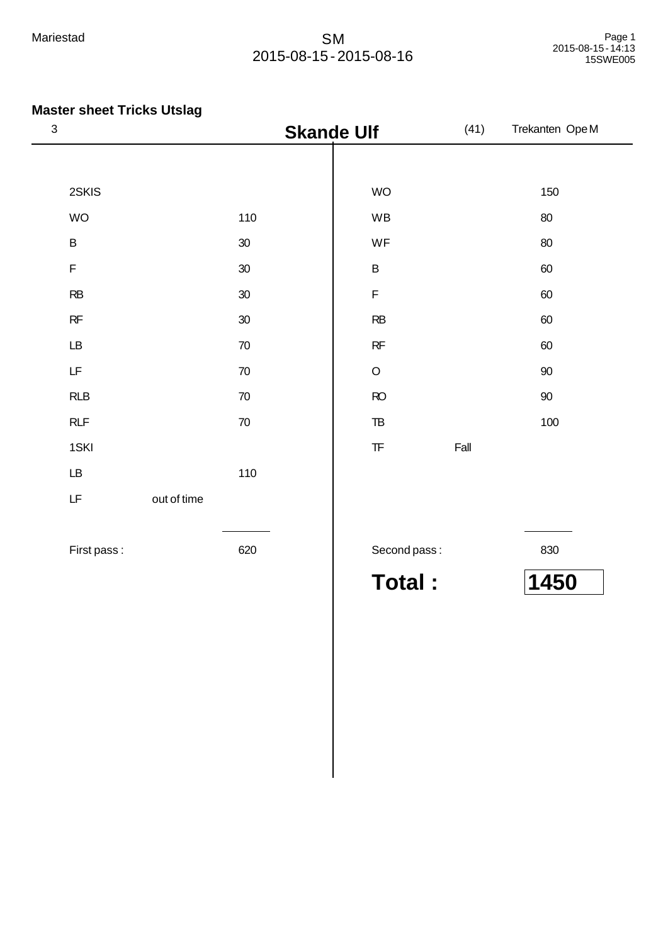# **Master sheet Tricks Utslag**

| $\ensuremath{\mathsf{3}}$                                                                   |             | <b>Skande Ulf</b> |                                                  | (41) | Trekanten OpeM |
|---------------------------------------------------------------------------------------------|-------------|-------------------|--------------------------------------------------|------|----------------|
|                                                                                             |             |                   |                                                  |      |                |
| 2SKIS                                                                                       |             |                   | WO                                               |      | 150            |
| WO                                                                                          |             | 110               | WB                                               |      | $80\,$         |
| $\sf B$                                                                                     |             | $30\,$            | WF                                               |      | $80\,$         |
| $\mathsf F$                                                                                 |             | $30\,$            | $\sf B$                                          |      | 60             |
| $\mathsf{RB}$                                                                               |             | $30\,$            | $\mathsf F$                                      |      | 60             |
| $\mathsf{RF}$                                                                               |             | $30\,$            | RB                                               |      | $60\,$         |
| $\mathsf{L}\mathsf{B}$                                                                      |             | $70\,$            | RF                                               |      | 60             |
| $\mathsf{LF}% _{0}\left( \mathcal{N}\right) \equiv\mathsf{LF}_{0}\left( \mathcal{N}\right)$ |             | $70\,$            | $\hbox{O}$                                       |      | $90\,$         |
| RLB                                                                                         |             | $70\,$            | $\mathsf{RO}$                                    |      | $90\,$         |
| RLF                                                                                         |             | $70\,$            | $\ensuremath{\mathsf{TB}}$                       |      | 100            |
| 1SKI                                                                                        |             |                   | $\ensuremath{\mathsf{T}}\ensuremath{\mathsf{F}}$ | Fall |                |
| $\mathsf{L}\mathsf{B}$                                                                      |             | 110               |                                                  |      |                |
| $\mathsf{LF}% _{0}\left( \mathcal{N}\right) \equiv\mathsf{LF}_{0}\left( \mathcal{N}\right)$ | out of time |                   |                                                  |      |                |
|                                                                                             |             |                   |                                                  |      |                |
| First pass:                                                                                 |             | 620               | Second pass:                                     |      | 830            |

**Total : 1450**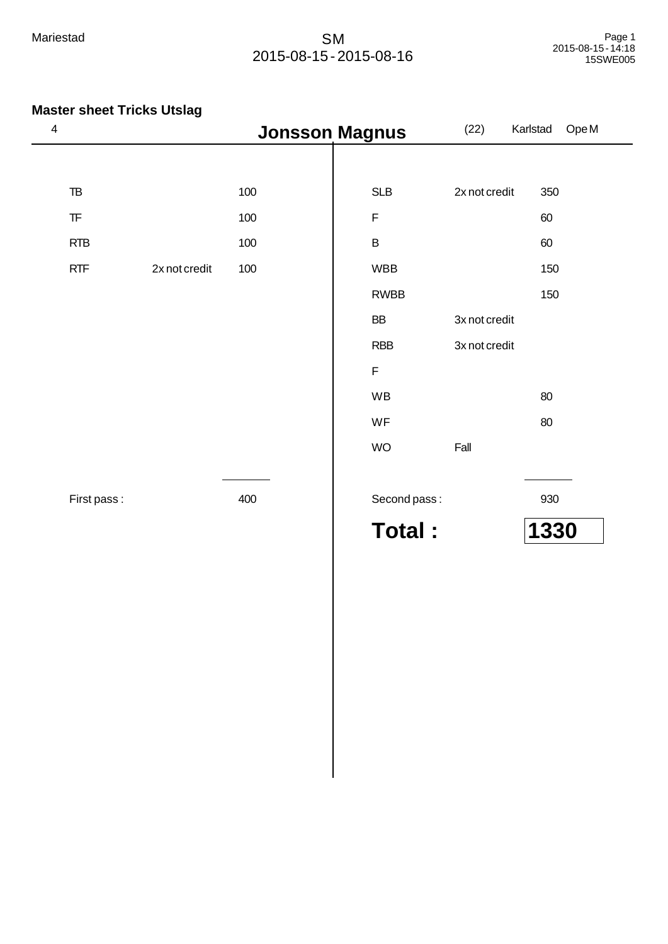| $\overline{\mathbf{4}}$                          |               | <b>Jonsson Magnus</b> |              | (22)          | Ope M<br>Karlstad |
|--------------------------------------------------|---------------|-----------------------|--------------|---------------|-------------------|
|                                                  |               |                       |              |               |                   |
| $\mathsf{T}\mathsf{B}$                           |               | 100                   | SLB          | 2x not credit | 350               |
| $\ensuremath{\mathsf{T}}\ensuremath{\mathsf{F}}$ |               | 100                   | $\mathsf F$  |               | 60                |
| <b>RTB</b>                                       |               | 100                   | $\sf B$      |               | 60                |
| RTF                                              | 2x not credit | 100                   | <b>WBB</b>   |               | 150               |
|                                                  |               |                       | <b>RWBB</b>  |               | 150               |
|                                                  |               |                       | BB           | 3x not credit |                   |
|                                                  |               |                       | <b>RBB</b>   | 3x not credit |                   |
|                                                  |               |                       | $\mathsf F$  |               |                   |
|                                                  |               |                       | WB           |               | $80\,$            |
|                                                  |               |                       | WF           |               | $80\,$            |
|                                                  |               |                       | <b>WO</b>    | Fall          |                   |
|                                                  |               |                       |              |               |                   |
| First pass:                                      |               | 400                   | Second pass: |               | 930               |
|                                                  |               |                       | Total:       |               | 1330              |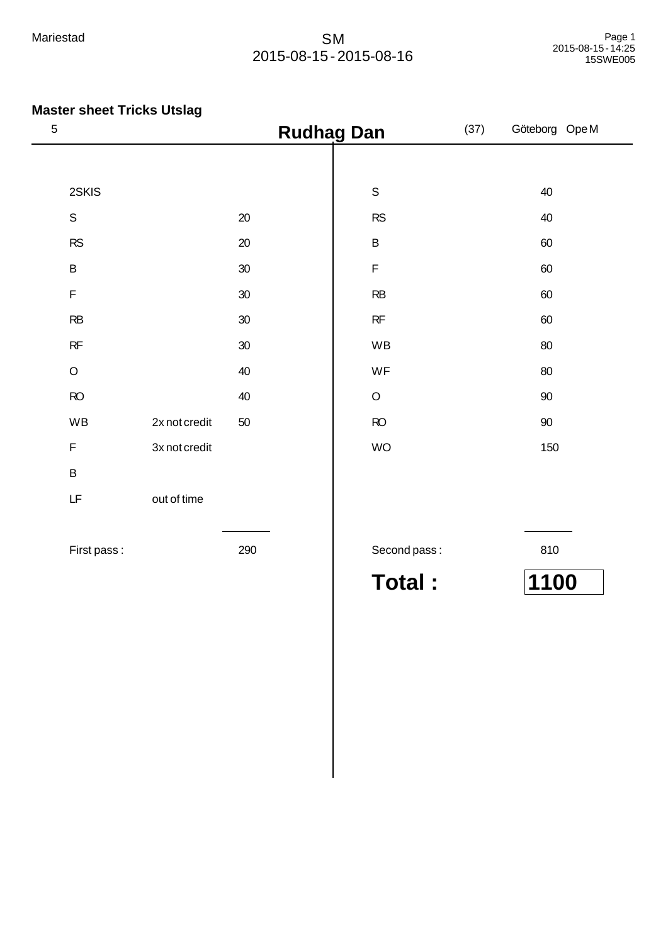| $\mathbf 5$                                                                                 |               |        | <b>Rudhag Dan</b> | (37) | Göteborg Ope M |
|---------------------------------------------------------------------------------------------|---------------|--------|-------------------|------|----------------|
|                                                                                             |               |        |                   |      |                |
| 2SKIS                                                                                       |               |        | $\mathbb S$       |      | 40             |
| ${\mathsf S}$                                                                               |               | $20\,$ | RS                |      | 40             |
| ${\sf RS}$                                                                                  |               | $20\,$ | $\sf B$           |      | 60             |
| $\sf B$                                                                                     |               | 30     | $\mathsf F$       |      | 60             |
| $\mathsf F$                                                                                 |               | $30\,$ | RB                |      | 60             |
| ${\sf RB}$                                                                                  |               | $30\,$ | $\sf RF$          |      | 60             |
| RF                                                                                          |               | $30\,$ | WB                |      | 80             |
| $\mathsf O$                                                                                 |               | 40     | WF                |      | 80             |
| $\mathsf{RO}$                                                                               |               | 40     | $\mathsf O$       |      | $90\,$         |
| WB                                                                                          | 2x not credit | 50     | $\mathsf{RO}$     |      | $90\,$         |
| $\mathsf F$                                                                                 | 3x not credit |        | <b>WO</b>         |      | 150            |
| $\sf B$                                                                                     |               |        |                   |      |                |
| $\mathsf{LF}% _{0}\left( \mathcal{N}\right) \equiv\mathsf{LF}_{0}\left( \mathcal{N}\right)$ | out of time   |        |                   |      |                |
|                                                                                             |               |        |                   |      |                |
| First pass:                                                                                 |               | 290    | Second pass:      |      | 810            |
|                                                                                             |               |        | <b>Total:</b>     |      | 1100           |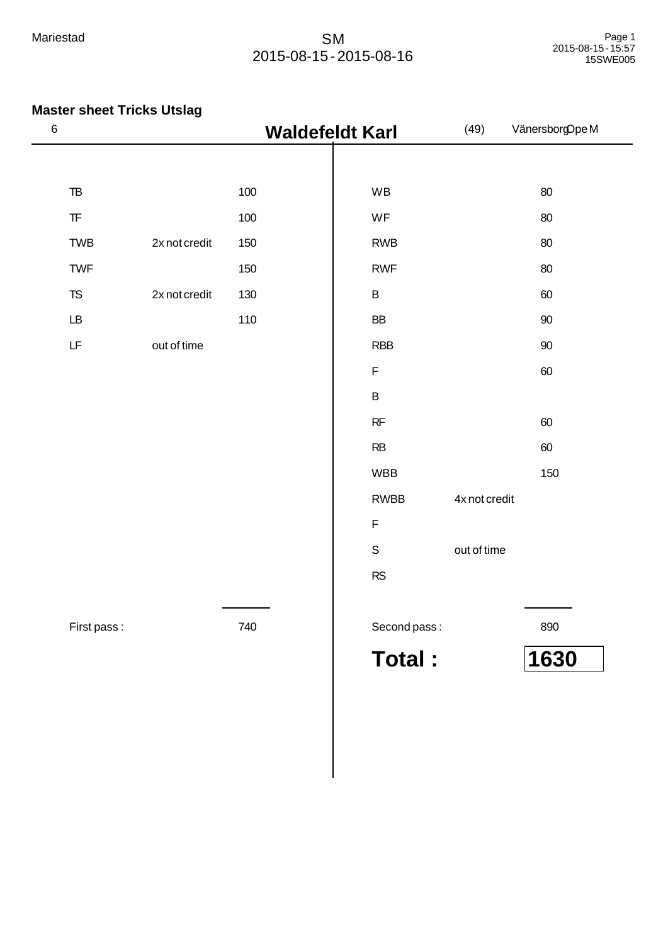|                                                                                             |               | <b>Waldefeldt Karl</b> |               | (49)          | VänersborgOpeM |
|---------------------------------------------------------------------------------------------|---------------|------------------------|---------------|---------------|----------------|
|                                                                                             |               |                        |               |               |                |
| $\ensuremath{\mathsf{T}}\ensuremath{\mathsf{B}}$                                            |               | 100                    | WB            |               | 80             |
| $\ensuremath{\mathsf{T}}\ensuremath{\mathsf{F}}$                                            |               | 100                    | WF            |               | 80             |
| <b>TWB</b>                                                                                  | 2x not credit | 150                    | <b>RWB</b>    |               | 80             |
| <b>TWF</b>                                                                                  |               | 150                    | <b>RWF</b>    |               | 80             |
| ${\sf TS}$                                                                                  | 2x not credit | 130                    | $\sf B$       |               | 60             |
| $\mathsf{L}\mathsf{B}$                                                                      |               | 110                    | ${\sf BB}$    |               | 90             |
| $\mathsf{LF}% _{0}\left( \mathcal{N}\right) \equiv\mathsf{LF}_{0}\left( \mathcal{N}\right)$ | out of time   |                        | <b>RBB</b>    |               | $90\,$         |
|                                                                                             |               |                        | $\mathsf F$   |               | 60             |
|                                                                                             |               |                        | $\sf B$       |               |                |
|                                                                                             |               |                        | $\sf RF$      |               | 60             |
|                                                                                             |               |                        | RB            |               | 60             |
|                                                                                             |               |                        | <b>WBB</b>    |               | 150            |
|                                                                                             |               |                        | <b>RWBB</b>   | 4x not credit |                |
|                                                                                             |               |                        | $\mathsf F$   |               |                |
|                                                                                             |               |                        | $\mathbb S$   | out of time   |                |
|                                                                                             |               |                        | RS            |               |                |
|                                                                                             |               |                        |               |               |                |
| First pass:                                                                                 |               | 740                    | Second pass:  |               | 890            |
|                                                                                             |               |                        | <b>Total:</b> |               | 1630           |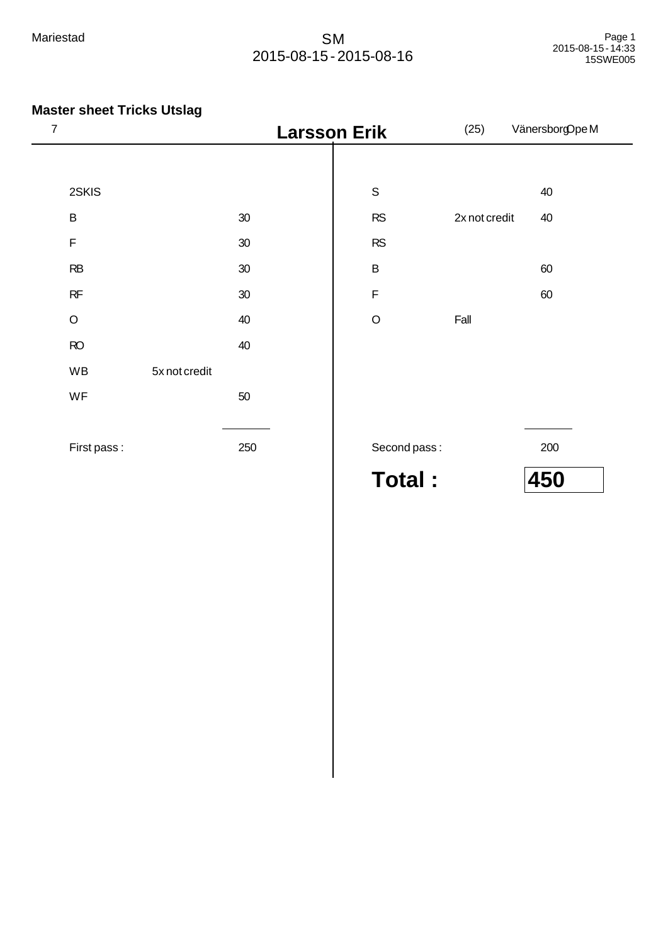**Master sheet Tricks Utslag**

First pass : 250

#### Mariestad SM 2015-08-15 - 2015-08-16

# <sup>7</sup>**Larsson Erik** (25) VänersborgOpe M 2SKIS B 30  $F \hspace{1.5cm} 30$ RB 30  $RF$  30 O 40  $RO$  40 WB 5x not credit  $WF$  50  $S \hspace{1.6cm} 40$ RS 2x not credit 40 RS B 60 **F** 60 O Fall

Second pass : 200

**Total : 450**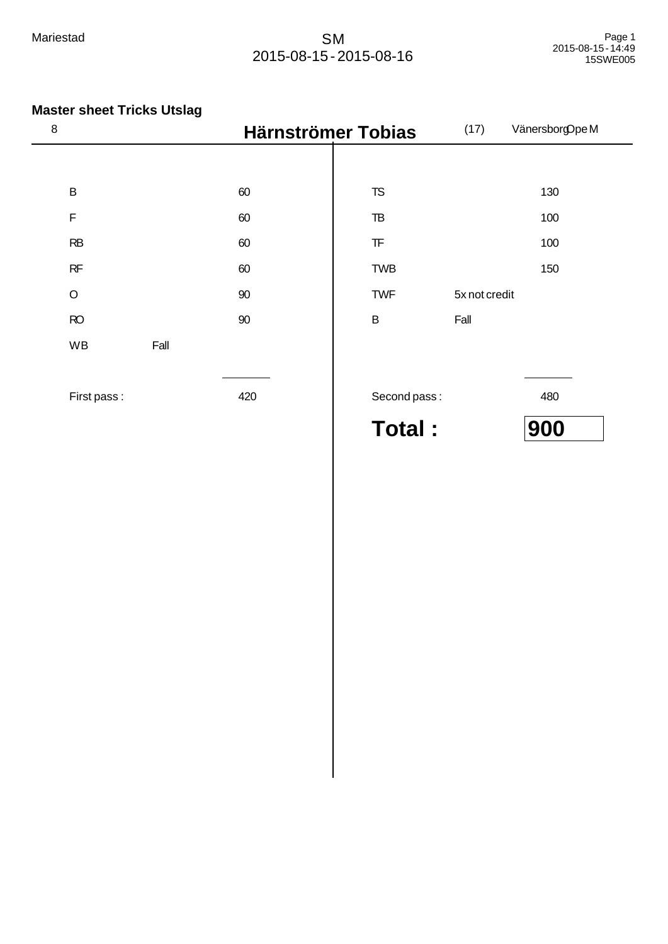| 8           |      |     | Härnströmer Tobias     | (17)          | VänersborgOpe M |
|-------------|------|-----|------------------------|---------------|-----------------|
|             |      |     |                        |               |                 |
| $\sf B$     |      | 60  | <b>TS</b>              |               | 130             |
| F           |      | 60  | TB                     |               | 100             |
| RB          |      | 60  | $\mathsf{T}\mathsf{F}$ |               | 100             |
| RF          |      | 60  | <b>TWB</b>             |               | 150             |
| $\circ$     |      | 90  | <b>TWF</b>             | 5x not credit |                 |
| RO          |      | 90  | $\sf B$                | Fall          |                 |
| WB          | Fall |     |                        |               |                 |
|             |      |     |                        |               |                 |
| First pass: |      | 420 | Second pass:           |               | 480             |
|             |      |     | Total:                 |               | 900             |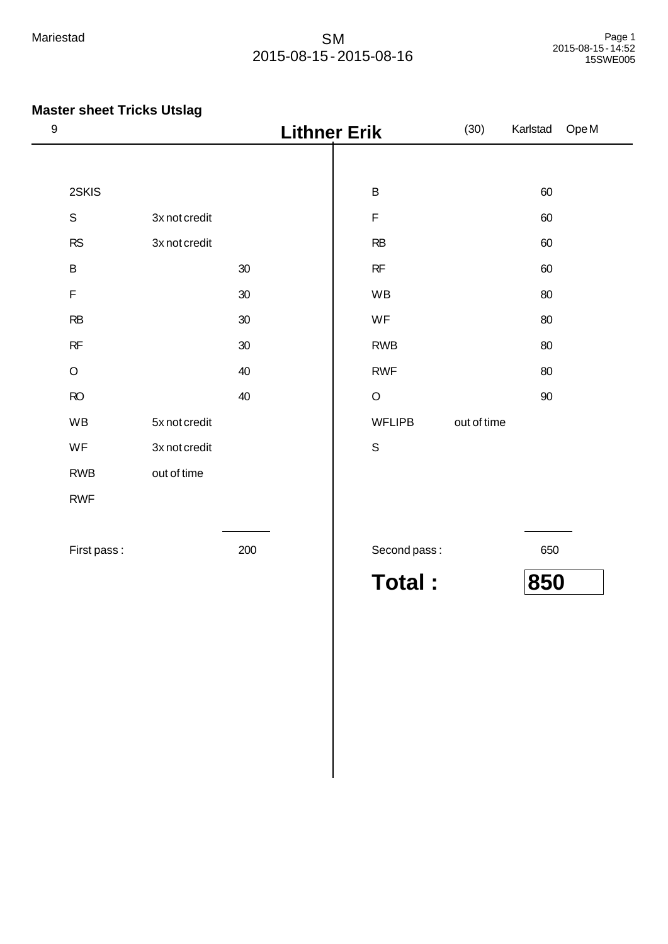| $\boldsymbol{9}$ |               |        | <b>Lithner Erik</b> | (30)        | Karlstad | OpeM |
|------------------|---------------|--------|---------------------|-------------|----------|------|
|                  |               |        |                     |             |          |      |
| 2SKIS            |               |        | $\sf B$             |             | 60       |      |
| $\mathsf S$      | 3x not credit |        | $\mathsf F$         |             | 60       |      |
| RS               | 3x not credit |        | RB                  |             | 60       |      |
| $\sf B$          |               | 30     | $\sf RF$            |             | 60       |      |
| $\mathsf F$      |               | 30     | WB                  |             | 80       |      |
| RB               |               | 30     | WF                  |             | 80       |      |
| $\sf RF$         |               | $30\,$ | <b>RWB</b>          |             | 80       |      |
| $\mathsf O$      |               | 40     | <b>RWF</b>          |             | 80       |      |
| RO               |               | 40     | $\mathsf O$         |             | $90\,$   |      |
| WB               | 5x not credit |        | <b>WFLIPB</b>       | out of time |          |      |
| WF               | 3x not credit |        | $\mathsf S$         |             |          |      |
| <b>RWB</b>       | out of time   |        |                     |             |          |      |
| <b>RWF</b>       |               |        |                     |             |          |      |
| First pass:      |               | 200    | Second pass:        |             | 650      |      |
|                  |               |        | <b>Total:</b>       |             | 850      |      |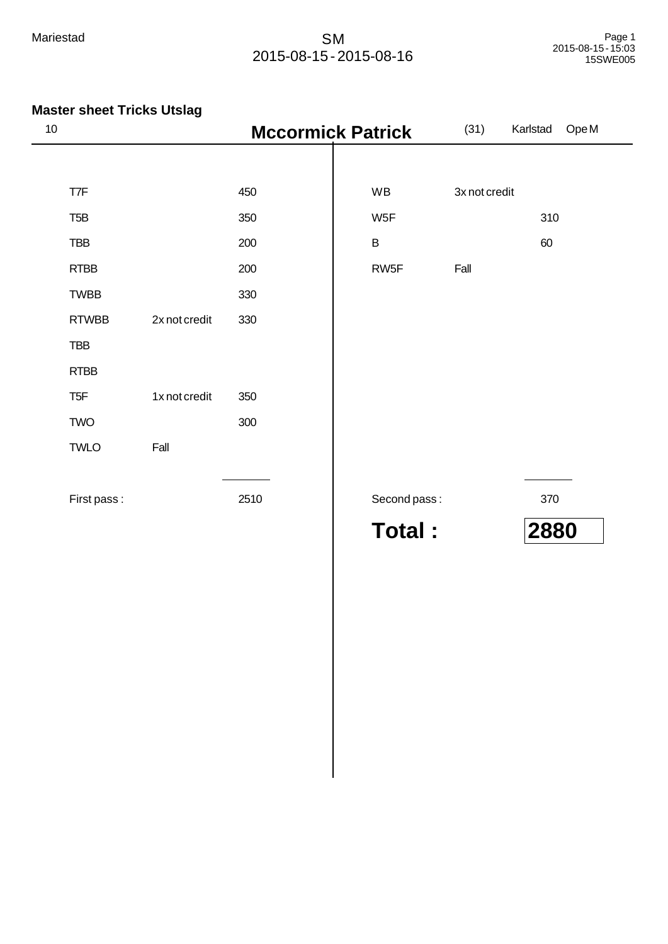| 10               |               | <b>Mccormick Patrick</b> |               | (31)          | Ope <sub>M</sub><br>Karlstad |
|------------------|---------------|--------------------------|---------------|---------------|------------------------------|
|                  |               |                          |               |               |                              |
| T7F              |               | 450                      | WB            | 3x not credit |                              |
| T <sub>5</sub> B |               | 350                      | W5F           |               | 310                          |
| <b>TBB</b>       |               | 200                      | $\sf B$       |               | 60                           |
| <b>RTBB</b>      |               | 200                      | RW5F          | Fall          |                              |
| <b>TWBB</b>      |               | 330                      |               |               |                              |
| <b>RTWBB</b>     | 2x not credit | 330                      |               |               |                              |
| <b>TBB</b>       |               |                          |               |               |                              |
| <b>RTBB</b>      |               |                          |               |               |                              |
| T <sub>5F</sub>  | 1x not credit | 350                      |               |               |                              |
| <b>TWO</b>       |               | 300                      |               |               |                              |
| <b>TWLO</b>      | Fall          |                          |               |               |                              |
|                  |               |                          |               |               |                              |
| First pass:      |               | 2510                     | Second pass:  |               | 370                          |
|                  |               |                          | <b>Total:</b> |               | 2880                         |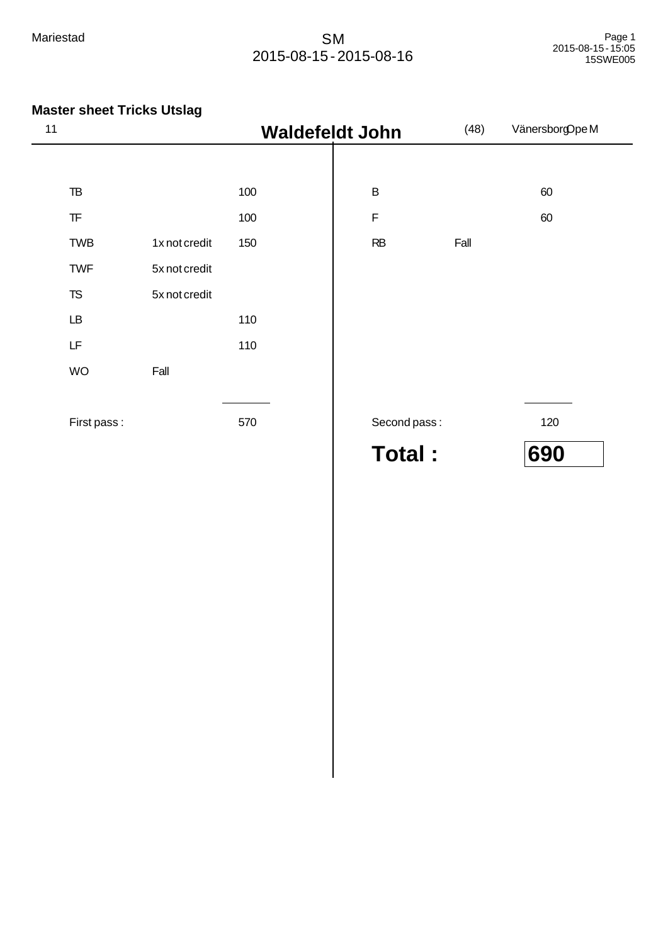| 11 |                                                  |               | <b>Waldefeldt John</b> |               | (48) | VänersborgOpeM |
|----|--------------------------------------------------|---------------|------------------------|---------------|------|----------------|
|    |                                                  |               |                        |               |      |                |
|    | ${\tt TB}$                                       |               | 100                    | $\sf B$       |      | 60             |
|    | $\ensuremath{\mathsf{T}}\ensuremath{\mathsf{F}}$ |               | 100                    | $\mathsf F$   |      | 60             |
|    | <b>TWB</b>                                       | 1x not credit | 150                    | RB            | Fall |                |
|    | <b>TWF</b>                                       | 5x not credit |                        |               |      |                |
|    | <b>TS</b>                                        | 5x not credit |                        |               |      |                |
|    | $\mathsf{L}\mathsf{B}$                           |               | 110                    |               |      |                |
|    | LF                                               |               | 110                    |               |      |                |
|    | <b>WO</b>                                        | Fall          |                        |               |      |                |
|    |                                                  |               |                        |               |      |                |
|    | First pass:                                      |               | 570                    | Second pass:  |      | 120            |
|    |                                                  |               |                        | <b>Total:</b> |      | 690            |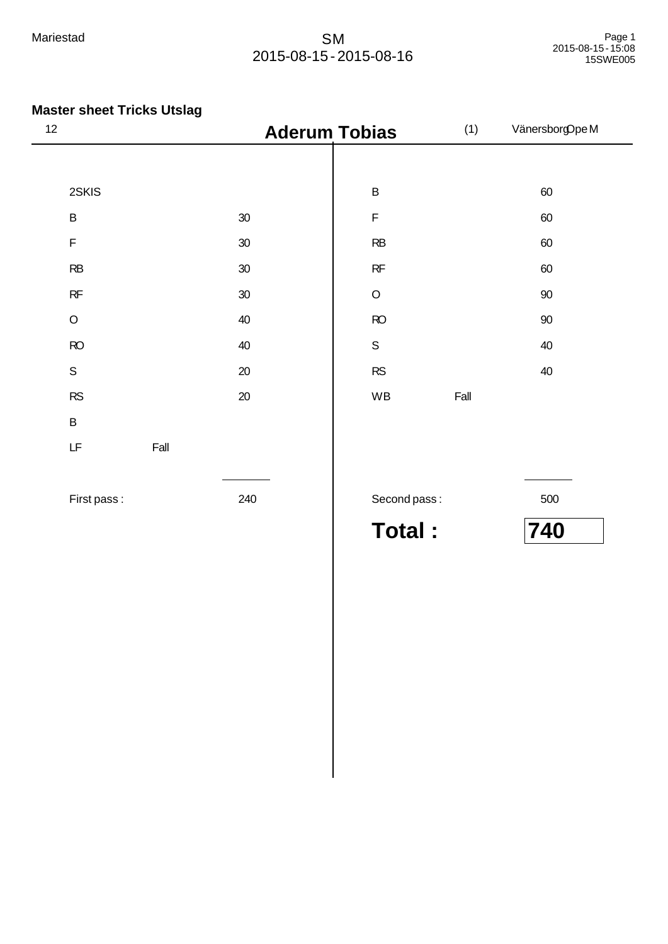# **Master sheet Tricks Utslag**

| 12 |                                                                                             |      | <b>Aderum Tobias</b> |              | (1)  | VänersborgOpeM |
|----|---------------------------------------------------------------------------------------------|------|----------------------|--------------|------|----------------|
|    |                                                                                             |      |                      |              |      |                |
|    | 2SKIS                                                                                       |      |                      | $\sf B$      |      | 60             |
|    | $\sf B$                                                                                     |      | $30\,$               | $\mathsf F$  |      | 60             |
|    | $\mathsf F$                                                                                 |      | $30\,$               | RB           |      | 60             |
|    | RB                                                                                          |      | $30\,$               | RF           |      | 60             |
|    | RF                                                                                          |      | $30\,$               | $\circ$      |      | $90\,$         |
|    | $\mathsf O$                                                                                 |      | 40                   | RO           |      | $90\,$         |
|    | RO                                                                                          |      | 40                   | $\mathsf S$  |      | $40\,$         |
|    | $\mathsf S$                                                                                 |      | 20                   | RS           |      | 40             |
|    | RS                                                                                          |      | $20\,$               | WB           | Fall |                |
|    | $\sf B$                                                                                     |      |                      |              |      |                |
|    | $\mathsf{LF}% _{0}\left( \mathcal{N}\right) \equiv\mathsf{LF}_{0}\left( \mathcal{N}\right)$ | Fall |                      |              |      |                |
|    |                                                                                             |      |                      |              |      |                |
|    | First pass:                                                                                 |      | 240                  | Second pass: |      | 500            |

**Total : 740**